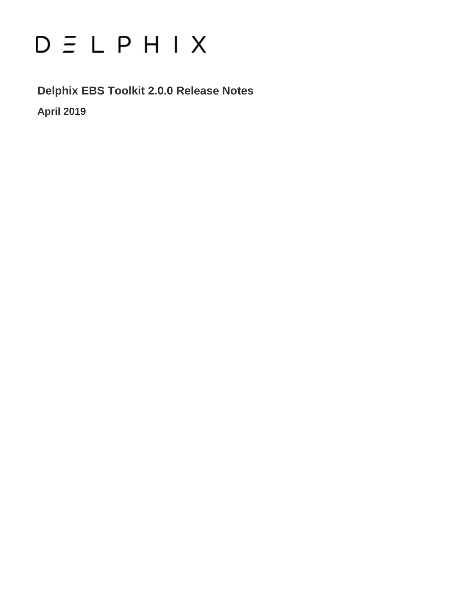# $D \subseteq L$   $P$   $H$   $I$   $X$

**Delphix EBS Toolkit 2.0.0 Release Notes April 2019**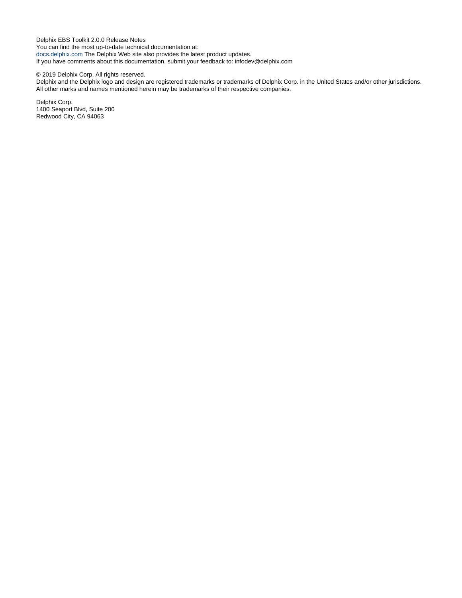Delphix EBS Toolkit 2.0.0 Release Notes You can find the most up-to-date technical documentation at: [docs.delphix.com](http://docs.delphix.com) The Delphix Web site also provides the latest product updates. If you have comments about this documentation, submit your feedback to: infodev@delphix.com

© 2019 Delphix Corp. All rights reserved.

Delphix and the Delphix logo and design are registered trademarks or trademarks of Delphix Corp. in the United States and/or other jurisdictions. All other marks and names mentioned herein may be trademarks of their respective companies.

Delphix Corp. 1400 Seaport Blvd, Suite 200 Redwood City, CA 94063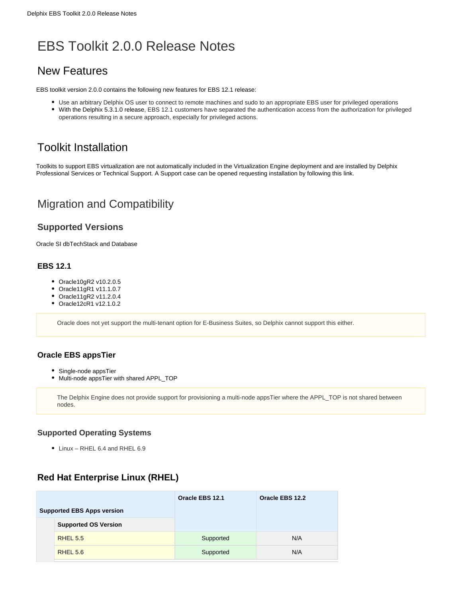## EBS Toolkit 2.0.0 Release Notes

### New Features

EBS toolkit version 2.0.0 contains the following new features for EBS 12.1 release:

- Use an arbitrary Delphix OS user to connect to remote machines and sudo to an appropriate EBS user for privileged operations
- With the Delphix 5.3.1.0 release, EBS 12.1 customers have separated the authentication access from the authorization for privileged operations resulting in a secure approach, especially for privileged actions.

## Toolkit Installation

Toolkits to support EBS virtualization are not automatically included in the Virtualization Engine deployment and are installed by Delphix Professional Services or Technical Support. A Support case can be opened requesting installation by following this [link](http://support-tickets.delphix.com/).

## Migration and Compatibility

#### **Supported Versions**

Oracle SI dbTechStack and Database

#### **EBS 12.1**

- Oracle10gR2 v10.2.0.5
- Oracle11gR1 v11.1.0.7
- Oracle11gR2 v11.2.0.4
- Oracle12cR1 v12.1.0.2

Oracle does not yet support the multi-tenant option for E-Business Suites, so Delphix cannot support this either.

#### **Oracle EBS appsTier**

- Single-node appsTier
- Multi-node appsTier with shared APPL\_TOP

The Delphix Engine does not provide support for provisioning a multi-node appsTier where the APPL\_TOP is not shared between nodes.

#### **Supported Operating Systems**

• Linux - RHEL 6.4 and RHEL 6.9

#### **Red Hat Enterprise Linux (RHEL)**

|                                   |                             | Oracle EBS 12.1 | Oracle EBS 12.2 |  |
|-----------------------------------|-----------------------------|-----------------|-----------------|--|
| <b>Supported EBS Apps version</b> |                             |                 |                 |  |
|                                   | <b>Supported OS Version</b> |                 |                 |  |
|                                   | <b>RHEL 5.5</b>             | Supported       | N/A             |  |
|                                   | <b>RHEL 5.6</b>             | Supported       | N/A             |  |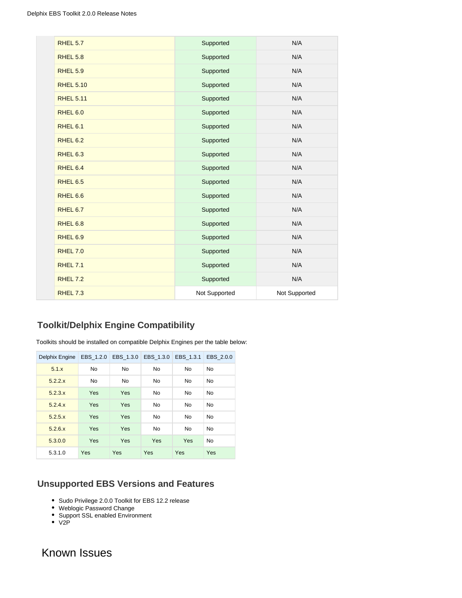| <b>RHEL 5.7</b>     | Supported     | N/A           |
|---------------------|---------------|---------------|
| <b>RHEL 5.8</b>     | Supported     | N/A           |
| <b>RHEL 5.9</b>     | Supported     | N/A           |
| <b>RHEL 5.10</b>    | Supported     | N/A           |
| <b>RHEL 5.11</b>    | Supported     | N/A           |
| <b>RHEL 6.0</b>     | Supported     | N/A           |
| RHEL 6.1            | Supported     | N/A           |
| <b>RHEL 6.2</b>     | Supported     | N/A           |
| <b>RHEL 6.3</b>     | Supported     | N/A           |
| RHEL <sub>6.4</sub> | Supported     | N/A           |
| RHEL 6.5            | Supported     | N/A           |
| RHEL 6.6            | Supported     | N/A           |
| RHEL 6.7            | Supported     | N/A           |
| RHEL <sub>6.8</sub> | Supported     | N/A           |
| RHEL <sub>6.9</sub> | Supported     | N/A           |
| <b>RHEL 7.0</b>     | Supported     | N/A           |
| <b>RHEL 7.1</b>     | Supported     | N/A           |
| <b>RHEL 7.2</b>     | Supported     | N/A           |
| <b>RHEL 7.3</b>     | Not Supported | Not Supported |

#### **Toolkit/Delphix Engine Compatibility**

Toolkits should be installed on compatible Delphix Engines per the table below:

| Delphix Engine | EBS_1.2.0  | EBS_1.3.0  | EBS_1.3.0  | EBS 1.3.1 | EBS 2.0.0 |
|----------------|------------|------------|------------|-----------|-----------|
| 5.1.x          | No.        | <b>No</b>  | <b>No</b>  | No        | <b>No</b> |
| 5.2.2.x        | No         | <b>No</b>  | <b>No</b>  | No        | <b>No</b> |
| 5.2.3.x        | Yes        | <b>Yes</b> | <b>No</b>  | <b>No</b> | <b>No</b> |
| 5.2.4.x        | Yes        | Yes        | <b>No</b>  | No        | <b>No</b> |
| 5.2.5.x        | Yes        | <b>Yes</b> | <b>No</b>  | <b>No</b> | <b>No</b> |
| 5.2.6.x        | Yes        | Yes        | <b>No</b>  | <b>No</b> | No        |
| 5.3.0.0        | Yes        | Yes        | Yes        | Yes       | <b>No</b> |
| 5.3.1.0        | <b>Yes</b> | Yes        | <b>Yes</b> | Yes       | Yes       |

#### **Unsupported EBS Versions and Features**

- Sudo Privilege 2.0.0 Toolkit for EBS 12.2 release
- Weblogic Password Change
- Support SSL enabled Environment
- $\bullet$  V<sub>2</sub>P